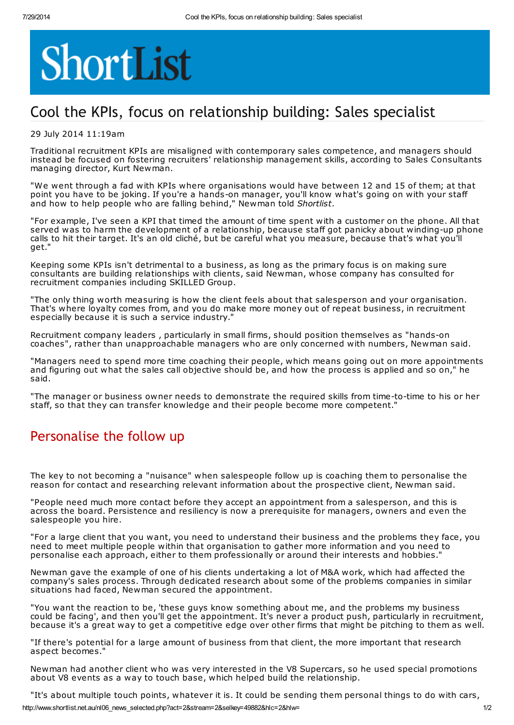# ShortList

## Cool the KPIs, focus on relationship building: Sales specialist

#### 29 July 2014 11:19am

Traditional recruitment KPIs are misaligned with contemporary sales competence, and managers should instead be focused on fostering recruiters' relationship management skills, according to Sales Consultants managing director, Kurt Newman.

"We went through a fad with KPIs where organisations would have between 12 and 15 of them; at that point you have to be joking. If you're a hands-on manager, you'll know what's going on with your staff and how to help people who are falling behind," Newman told Shortlist.

"For example, I've seen a KPI that timed the amount of time spent with a customer on the phone. All that served was to harm the development of a relationship, because staff got panicky about winding-up phone calls to hit their target. It's an old cliché, but be careful what you measure, because that's what you'll get."

Keeping some KPIs isn't detrimental to a business, as long as the primary focus is on making sure consultants are building relationships with clients, said Newman, whose company has consulted for recruitment companies including SKILLED Group.

"The only thing worth measuring is how the client feels about that salesperson and your organisation. That's where loyalty comes from, and you do make more money out of repeat business, in recruitment especially because it is such a service industry.'

Recruitment company leaders , particularly in small firms, should position themselves as "hands-on coaches", rather than unapproachable managers who are only concerned with numbers, Newman said.

"Managers need to spend more time coaching their people, which means going out on more appointments and figuring out what the sales call objective should be, and how the process is applied and so on," he said.

"The manager or business owner needs to demonstrate the required skills from time-to-time to his or her staff, so that they can transfer knowledge and their people become more competent.

#### Personalise the follow up

The key to not becoming a "nuisance" when salespeople follow up is coaching them to personalise the reason for contact and researching relevant information about the prospective client, Newman said.

"People need much more contact before they accept an appointment from a salesperson, and this is across the board. Persistence and resiliency is now a prerequisite for managers, owners and even the salespeople you hire.

"For a large client that you want, you need to understand their business and the problems they face, you need to meet multiple people within that organisation to gather more information and you need to personalise each approach, either to them professionally or around their interests and hobbies."

Newman gave the example of one of his clients undertaking a lot of M&A work, which had affected the company's sales process. Through dedicated research about some of the problems companies in similar situations had faced, Newman secured the appointment.

"You want the reaction to be, 'these guys know something about me, and the problems my business could be facing', and then you'll get the appointment. It's never a product push, particularly in recruitment, because it's a great way to get a competitive edge over other firms that might be pitching to them as well.

"If there's potential for a large amount of business from that client, the more important that research aspect becomes."

Newman had another client who was very interested in the V8 Supercars, so he used special promotions about V8 events as a way to touch base, which helped build the relationship.

"It's about multiple touch points, whatever it is. It could be sending them personal things to do with cars,